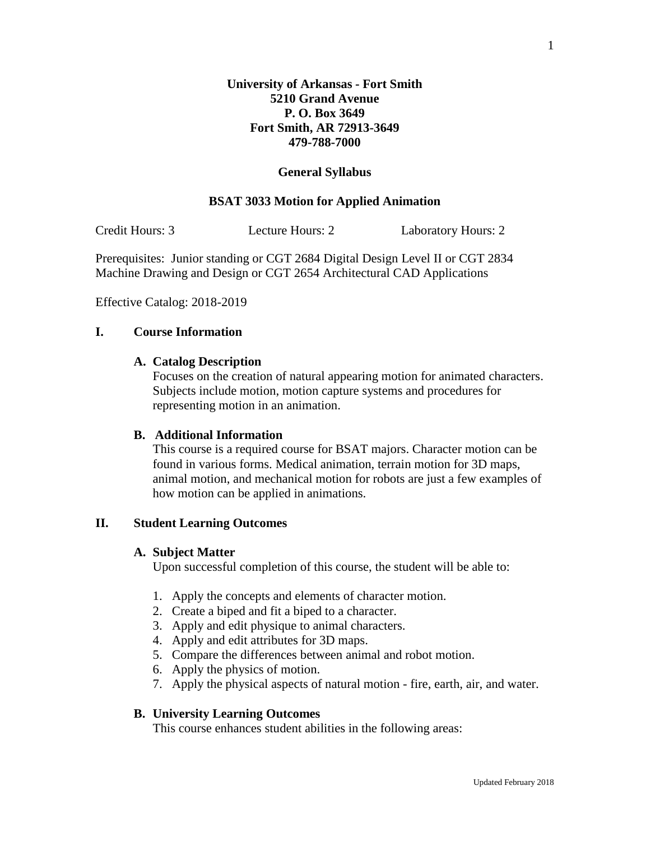## **General Syllabus**

#### **BSAT 3033 Motion for Applied Animation**

Credit Hours: 3 Lecture Hours: 2 Laboratory Hours: 2

Prerequisites: Junior standing or CGT 2684 Digital Design Level II or CGT 2834 Machine Drawing and Design or CGT 2654 Architectural CAD Applications

Effective Catalog: 2018-2019

## **I. Course Information**

# **A. Catalog Description**

Focuses on the creation of natural appearing motion for animated characters. Subjects include motion, motion capture systems and procedures for representing motion in an animation.

# **B. Additional Information**

This course is a required course for BSAT majors. Character motion can be found in various forms. Medical animation, terrain motion for 3D maps, animal motion, and mechanical motion for robots are just a few examples of how motion can be applied in animations.

# **II. Student Learning Outcomes**

#### **A. Subject Matter**

Upon successful completion of this course, the student will be able to:

- 1. Apply the concepts and elements of character motion.
- 2. Create a biped and fit a biped to a character.
- 3. Apply and edit physique to animal characters.
- 4. Apply and edit attributes for 3D maps.
- 5. Compare the differences between animal and robot motion.
- 6. Apply the physics of motion.
- 7. Apply the physical aspects of natural motion fire, earth, air, and water.

#### **B. University Learning Outcomes**

This course enhances student abilities in the following areas: